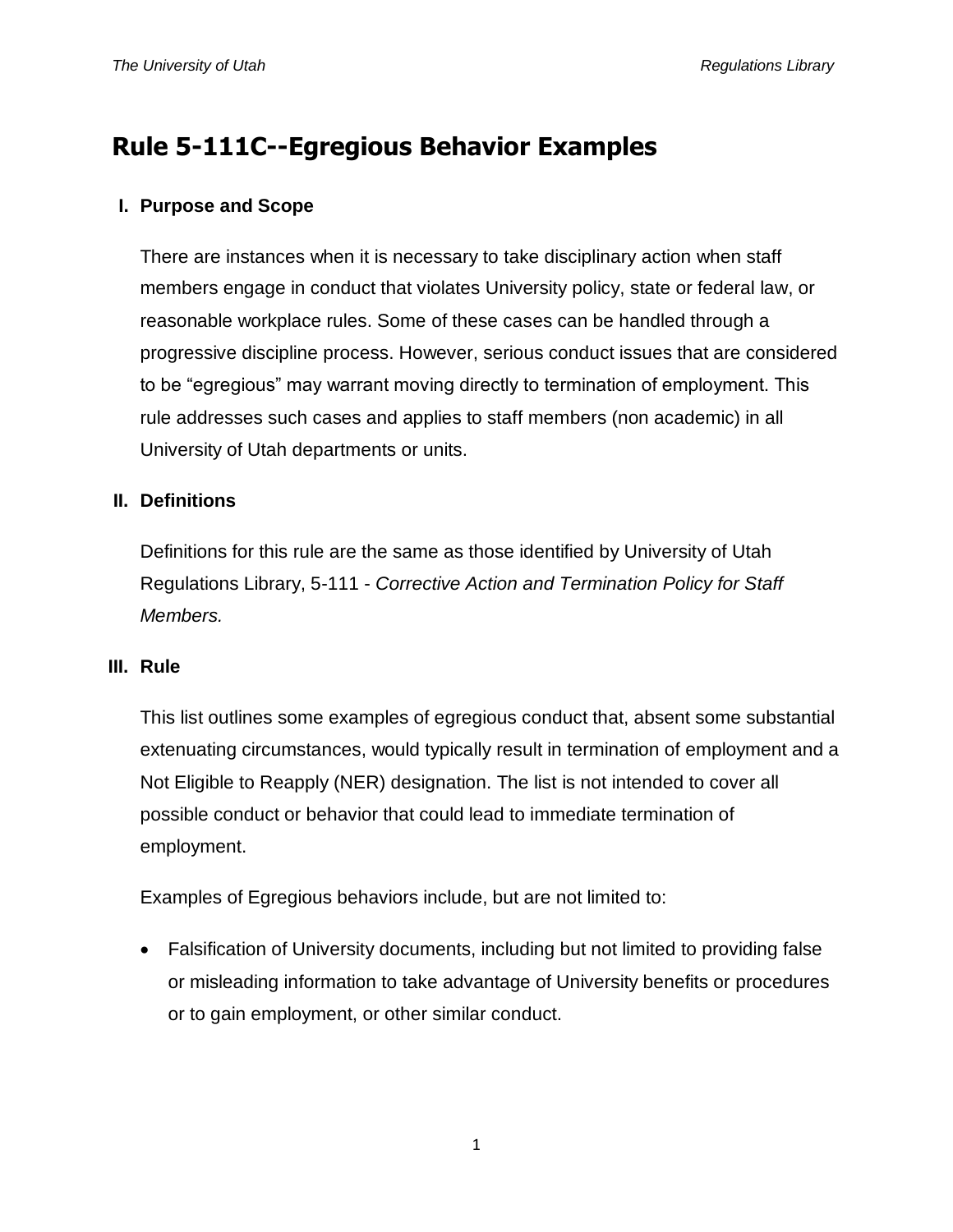# **Rule 5-111C--Egregious Behavior Examples**

## **I. Purpose and Scope**

There are instances when it is necessary to take disciplinary action when staff members engage in conduct that violates University policy, state or federal law, or reasonable workplace rules. Some of these cases can be handled through a progressive discipline process. However, serious conduct issues that are considered to be "egregious" may warrant moving directly to termination of employment. This rule addresses such cases and applies to staff members (non academic) in all University of Utah departments or units.

## **II. Definitions**

Definitions for this rule are the same as those identified by University of Utah Regulations Library, 5-111 - *Corrective Action and Termination Policy for Staff Members.*

#### **III. Rule**

This list outlines some examples of egregious conduct that, absent some substantial extenuating circumstances, would typically result in termination of employment and a Not Eligible to Reapply (NER) designation. The list is not intended to cover all possible conduct or behavior that could lead to immediate termination of employment.

Examples of Egregious behaviors include, but are not limited to:

• Falsification of University documents, including but not limited to providing false or misleading information to take advantage of University benefits or procedures or to gain employment, or other similar conduct.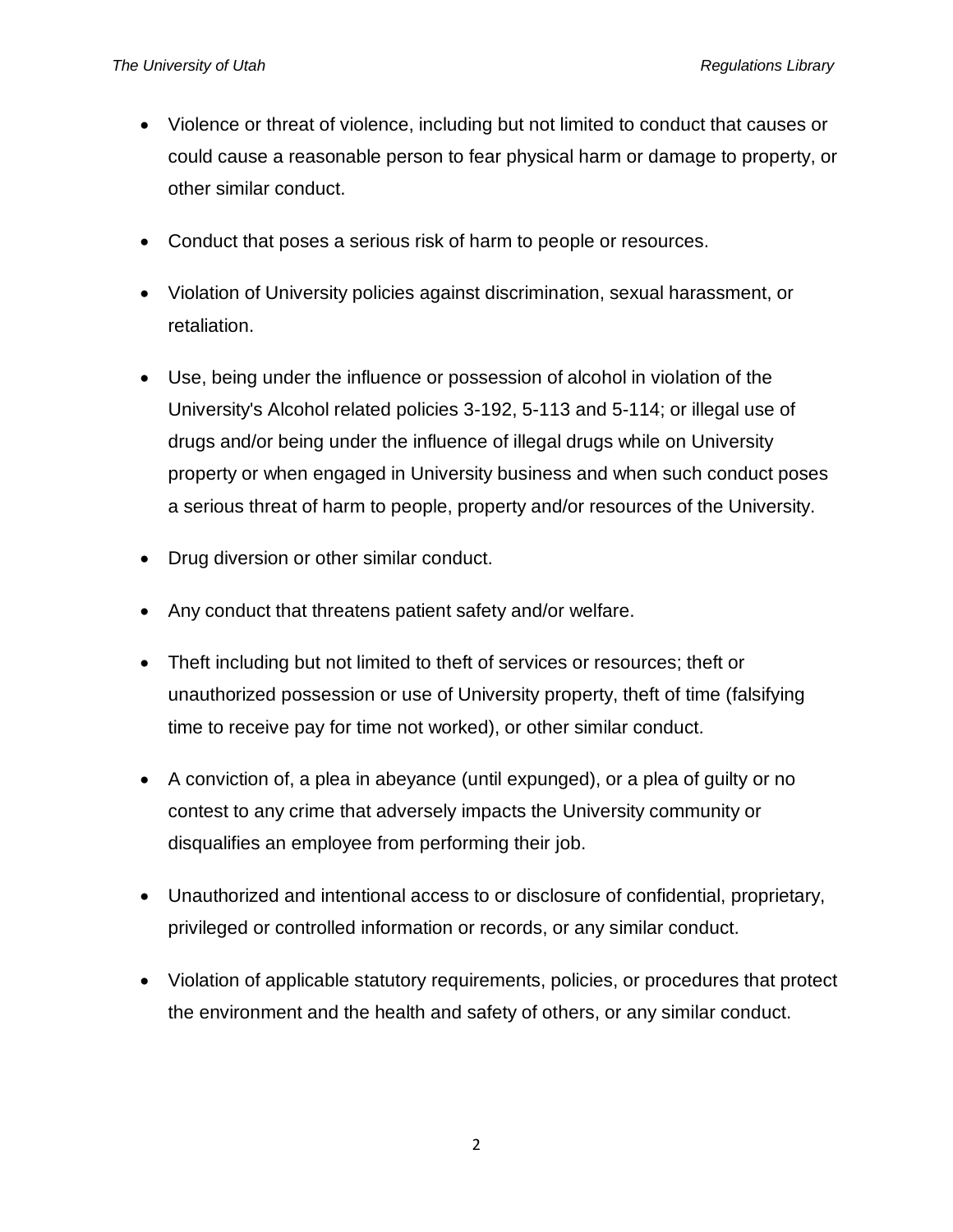- Violence or threat of violence, including but not limited to conduct that causes or could cause a reasonable person to fear physical harm or damage to property, or other similar conduct.
- Conduct that poses a serious risk of harm to people or resources.
- Violation of University policies against discrimination, sexual harassment, or retaliation.
- Use, being under the influence or possession of alcohol in violation of the University's Alcohol related policies 3-192, 5-113 and 5-114; or illegal use of drugs and/or being under the influence of illegal drugs while on University property or when engaged in University business and when such conduct poses a serious threat of harm to people, property and/or resources of the University.
- Drug diversion or other similar conduct.
- Any conduct that threatens patient safety and/or welfare.
- Theft including but not limited to theft of services or resources; theft or unauthorized possession or use of University property, theft of time (falsifying time to receive pay for time not worked), or other similar conduct.
- A conviction of, a plea in abeyance (until expunged), or a plea of guilty or no contest to any crime that adversely impacts the University community or disqualifies an employee from performing their job.
- Unauthorized and intentional access to or disclosure of confidential, proprietary, privileged or controlled information or records, or any similar conduct.
- Violation of applicable statutory requirements, policies, or procedures that protect the environment and the health and safety of others, or any similar conduct.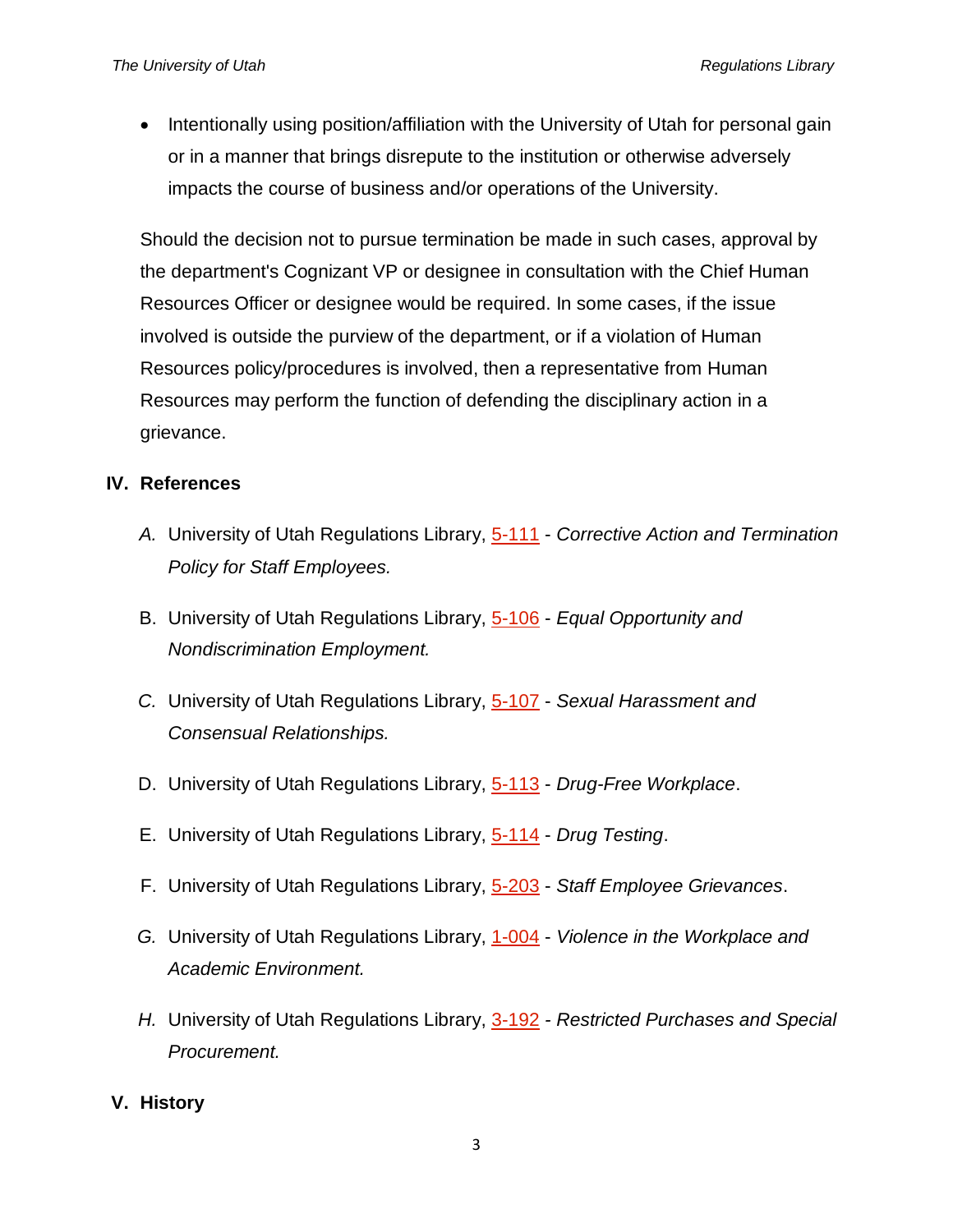• Intentionally using position/affiliation with the University of Utah for personal gain or in a manner that brings disrepute to the institution or otherwise adversely impacts the course of business and/or operations of the University.

Should the decision not to pursue termination be made in such cases, approval by the department's Cognizant VP or designee in consultation with the Chief Human Resources Officer or designee would be required. In some cases, if the issue involved is outside the purview of the department, or if a violation of Human Resources policy/procedures is involved, then a representative from Human Resources may perform the function of defending the disciplinary action in a grievance.

## **IV. References**

- *A.* University of Utah Regulations Library, [5-111](http://regulations.utah.edu/human-resources/5-111.php) *Corrective Action and Termination Policy for Staff Employees.*
- B. University of Utah Regulations Library, [5-106](http://regulations.utah.edu/human-resources/5-106.php) *Equal Opportunity and Nondiscrimination Employment.*
- *C.* University of Utah Regulations Library, [5-107](http://regulations.utah.edu/human-resources/5-107.php) *Sexual Harassment and Consensual Relationships.*
- D. University of Utah Regulations Library, [5-113](http://regulations.utah.edu/human-resources/5-113.php) *Drug-Free Workplace*.
- E. University of Utah Regulations Library, [5-114](http://regulations.utah.edu/human-resources/5-114.php) *Drug Testing*.
- F. University of Utah Regulations Library, [5-203](http://regulations.utah.edu/human-resources/5-203.php) *Staff Employee Grievances*.
- *G.* University of Utah Regulations Library, [1-004](http://regulations.utah.edu/general/1-004.php) *Violence in the Workplace and Academic Environment.*
- *H.* University of Utah Regulations Library, [3-192](http://regulations.utah.edu/administration/3-192.php) *- Restricted Purchases and Special Procurement.*

# **V. History**